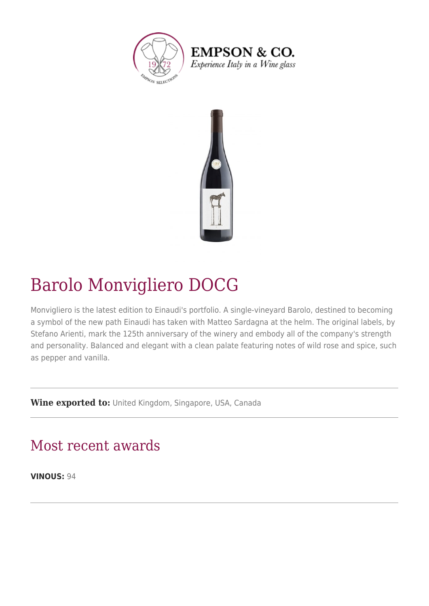



### Barolo Monvigliero DOCG

Monvigliero is the latest edition to Einaudi's portfolio. A single-vineyard Barolo, destined to becoming a symbol of the new path Einaudi has taken with Matteo Sardagna at the helm. The original labels, by Stefano Arienti, mark the 125th anniversary of the winery and embody all of the company's strength and personality. Balanced and elegant with a clean palate featuring notes of wild rose and spice, such as pepper and vanilla.

**Wine exported to:** United Kingdom, Singapore, USA, Canada

#### Most recent awards

**VINOUS:** 94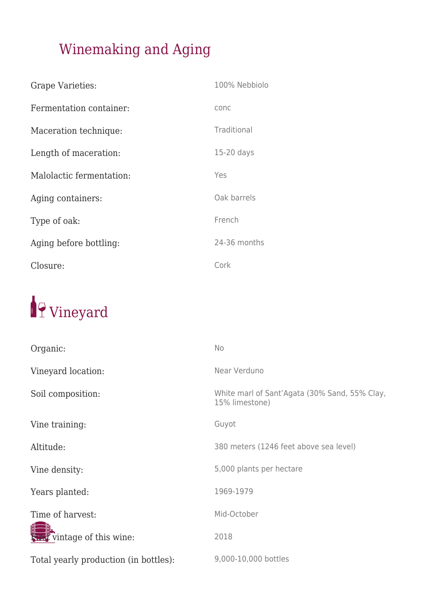#### Winemaking and Aging

| <b>Grape Varieties:</b>  | 100% Nebbiolo |
|--------------------------|---------------|
| Fermentation container:  | conc          |
| Maceration technique:    | Traditional   |
| Length of maceration:    | 15-20 days    |
| Malolactic fermentation: | Yes           |
| Aging containers:        | Oak barrels   |
| Type of oak:             | French        |
| Aging before bottling:   | 24-36 months  |
| Closure:                 | Cork          |

# <sup>1</sup>9 Vineyard

| Organic:                              | No                                                              |
|---------------------------------------|-----------------------------------------------------------------|
| Vineyard location:                    | Near Verduno                                                    |
| Soil composition:                     | White marl of Sant'Agata (30% Sand, 55% Clay,<br>15% limestone) |
| Vine training:                        | Guyot                                                           |
| Altitude:                             | 380 meters (1246 feet above sea level)                          |
| Vine density:                         | 5,000 plants per hectare                                        |
| Years planted:                        | 1969-1979                                                       |
| Time of harvest:                      | Mid-October                                                     |
| vintage of this wine:                 | 2018                                                            |
| Total yearly production (in bottles): | 9,000-10,000 bottles                                            |